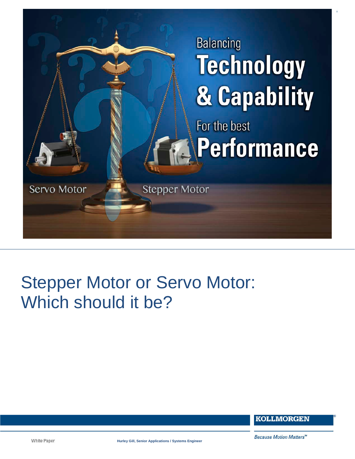

# Stepper Motor or Servo Motor: Which should it be?

**KOLLMORGEN** 

White Paper

**Hurley Gill, Senior Applications / Systems Engineer**

1

Because Motion Matters<sup>"</sup>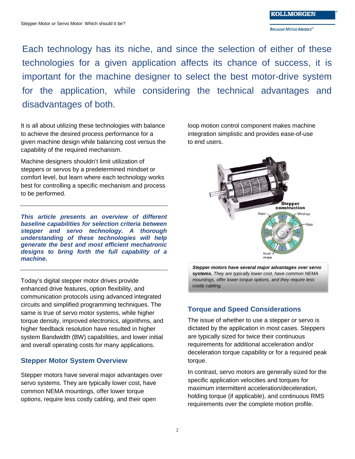Because Motion Matters"

Each technology has its niche, and since the selection of either of these technologies for a given application affects its chance of success, it is important for the machine designer to select the best motor-drive system for the application, while considering the technical advantages and disadvantages of both.

It is all about utilizing these technologies with balance to achieve the desired process performance for a given machine design while balancing cost versus the capability of the required mechanism.

Machine designers shouldn't limit utilization of steppers or servos by a predetermined mindset or comfort level, but learn where each technology works best for controlling a specific mechanism and process to be performed.

*This article presents an overview of different baseline capabilities for selection criteria between stepper and servo technology. A thorough understanding of these technologies will help generate the best and most efficient mechatronic designs to bring forth the full capability of a machine.*

Today's digital stepper motor drives provide enhanced drive features, option flexibility, and communication protocols using advanced integrated circuits and simplified programming techniques. The same is true of servo motor systems, while higher torque density, improved electronics, algorithms, and higher feedback resolution have resulted in higher system Bandwidth (BW) capabilities, and lower initial and overall operating costs for many applications.

## **Stepper Motor System Overview**

Stepper motors have several major advantages over servo systems. They are typically lower cost, have common NEMA mountings, offer lower torque options, require less costly cabling, and their open

loop motion control component makes machine integration simplistic and provides ease-of-use to end users.



*Stepper motors have several major advantages over servo systems. They are typically lower cost, have common NEMA mountings, offer lower torque options, and they require less costly cabling.*

# **Torque and Speed Considerations**

The issue of whether to use a stepper or servo is dictated by the application in most cases. Steppers are typically sized for twice their continuous requirements for additional acceleration and/or deceleration torque capability or for a required peak torque.

In contrast, servo motors are generally sized for the specific application velocities and torques for maximum intermittent acceleration/deceleration, holding torque (if applicable), and continuous RMS requirements over the complete motion profile.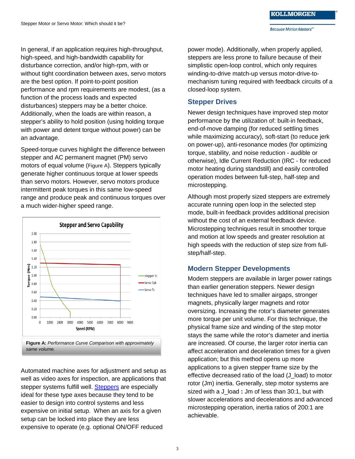In general, if an application requires high-throughput, high-speed, and high-bandwidth capability for disturbance correction, and/or high-rpm, with or without tight coordination between axes, servo motors are the best option. If point-to-point position performance and rpm requirements are modest, (as a function of the process loads and expected disturbances) steppers may be a better choice. Additionally, when the loads are within reason, a stepper's ability to hold position (using holding torque with power and detent torque without power) can be an advantage.

Speed-torque curves highlight the difference between stepper and AC permanent magnet (PM) servo motors of equal volume (Figure A). Steppers typically generate higher continuous torque at lower speeds than servo motors. However, servo motors produce intermittent peak torques in this same low-speed range and produce peak and continuous torques over a much wider-higher speed range.



*same volume.*

Automated machine axes for adjustment and setup as well as video axes for inspection, are applications that stepper systems fulfill well. [Steppers](http://www.kollmorgen.com/en-us/products/motors/stepper/) are especially ideal for these type axes because they tend to be easier to design into control systems and less expensive on initial setup. When an axis for a given setup can be locked into place they are less expensive to operate (e.g. optional ON/OFF reduced

power mode). Additionally, when properly applied, steppers are less prone to failure because of their simplistic open-loop control, which only requires winding-to-drive match-up versus motor-drive-tomechanism tuning required with feedback circuits of a closed-loop system.

### **Stepper Drives**

Newer design techniques have improved step motor performance by the utilization of: built-in feedback, end-of-move damping (for reduced settling times while maximizing accuracy), soft-start (to reduce jerk on power-up), anti-resonance modes (for optimizing torque, stability, and noise reduction - audible or otherwise), Idle Current Reduction (IRC - for reduced motor heating during standstill) and easily controlled operation modes between full-step, half-step and microstepping.

Although most properly sized steppers are extremely accurate running open loop in the selected step mode, built-in feedback provides additional precision without the cost of an external feedback device. Microstepping techniques result in smoother torque and motion at low speeds and greater resolution at high speeds with the reduction of step size from fullstep/half-step.

## **Modern Stepper Developments**

Modern steppers are available in larger power ratings than earlier generation steppers. Newer design techniques have led to smaller airgaps, stronger magnets, physically larger magnets and rotor oversizing. Increasing the rotor's diameter generates more torque per unit volume. For this technique, the physical frame size and winding of the step motor stays the same while the rotor's diameter and inertia are increased. Of course, the larger rotor inertia can affect acceleration and deceleration times for a given application; but this method opens up more applications to a given stepper frame size by the effective decreased ratio of the load (J\_load) to motor rotor (Jm) inertia. Generally, step motor systems are sized with a J\_load **:** Jm of less than 30:1, but with slower accelerations and decelerations and advanced microstepping operation, inertia ratios of 200:1 are achievable.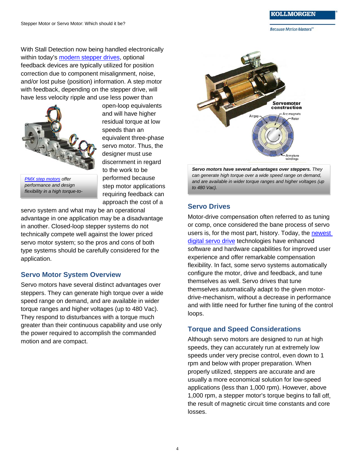**Because Motion Matters"** 

With Stall Detection now being handled electronically within today's [modern stepper drives,](http://www.kollmorgen.com/en-us/products/drives/stepper/stepper-drives/) optional feedback devices are typically utilized for position correction due to component misalignment, noise, and/or lost pulse (position) information. A step motor with feedback, depending on the stepper drive, will have less velocity ripple and use less power than



*[PMX step motors](http://www.kollmorgen.com/en-us/products/motors/stepper/pmx-series/) offer performance and design flexibility in a high torque-to-* open-loop equivalents and will have higher residual torque at low speeds than an equivalent three-phase servo motor. Thus, the designer must use discernment in regard to the work to be performed because step motor applications requiring feedback can approach the cost of a

servo system and what may be an operational advantage in one application may be a disadvantage in another. Closed-loop stepper systems do not technically compete well against the lower priced servo motor system; so the pros and cons of both type systems should be carefully considered for the application.

## **Servo Motor System Overview**

Servo motors have several distinct advantages over steppers. They can generate high torque over a wide speed range on demand, and are available in wider torque ranges and higher voltages (up to 480 Vac). They respond to disturbances with a torque much greater than their continuous capability and use only the power required to accomplish the commanded motion and are compact.



*Servo motors have several advantages over steppers. They can generate high torque over a wide speed range on demand, and are available in wider torque ranges and higher voltages (up to 480 Vac).*

## **Servo Drives**

Motor-drive compensation often referred to as tuning or comp, once considered the bane process of servo users is, for the most part, history. Today, the [newest](http://www.kollmorgen.com/en-us/products/drives/servo/servo-drives/)  [digital servo drive](http://www.kollmorgen.com/en-us/products/drives/servo/servo-drives/) technologies have enhanced software and hardware capabilities for improved user experience and offer remarkable compensation flexibility. In fact, some servo systems automatically configure the motor, drive and feedback, and tune themselves as well. Servo drives that tune themselves automatically adapt to the given motordrive-mechanism, without a decrease in performance and with little need for further fine tuning of the control loops.

## **Torque and Speed Considerations**

Although servo motors are designed to run at high speeds, they can accurately run at extremely low speeds under very precise control, even down to 1 rpm and below with proper preparation. When properly utilized, steppers are accurate and are usually a more economical solution for low-speed applications (less than 1,000 rpm). However, above 1,000 rpm, a stepper motor's torque begins to fall off, the result of magnetic circuit time constants and core losses.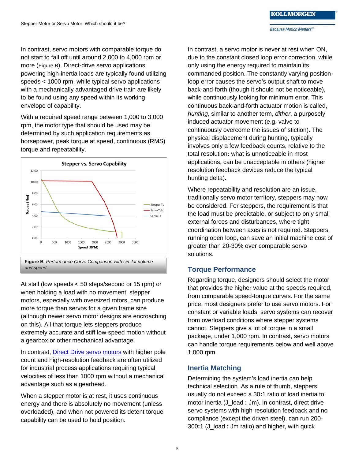In contrast, servo motors with comparable torque do not start to fall off until around 2,000 to 4,000 rpm or more (Figure B). Direct-drive servo applications powering high-inertia loads are typically found utilizing speeds < 1000 rpm, while typical servo applications with a mechanically advantaged drive train are likely to be found using any speed within its working envelope of capability.

With a required speed range between 1,000 to 3,000 rpm, the motor type that should be used may be determined by such application requirements as horsepower, peak torque at speed, continuous (RMS) torque and repeatability.



**Figure B**: *Performance Curve Comparison with similar volume and speed.*

At stall (low speeds < 50 steps/second or 15 rpm) or when holding a load with no movement, stepper motors, especially with oversized rotors, can produce more torque than servos for a given frame size (although newer servo motor designs are encroaching on this). All that torque lets steppers produce extremely accurate and stiff low-speed motion without a gearbox or other mechanical advantage.

In contrast, [Direct Drive servo motors](http://www.kollmorgen.com/en-us/products/motors/direct-drive/) with higher pole count and high-resolution feedback are often utilized for industrial process applications requiring typical velocities of less than 1000 rpm without a mechanical advantage such as a gearhead.

When a stepper motor is at rest, it uses continuous energy and there is absolutely no movement (unless overloaded), and when not powered its detent torque capability can be used to hold position.

In contrast, a servo motor is never at rest when ON, due to the constant closed loop error correction, while only using the energy required to maintain its commanded position. The constantly varying positionloop error causes the servo's output shaft to move back-and-forth (though it should not be noticeable), while continuously looking for minimum error. This continuous back-and-forth actuator motion is called, *hunting*, similar to another term, *dither*, a purposely induced actuator movement (e.g. valve to continuously overcome the issues of stiction). The physical displacement during hunting, typically involves only a few feedback counts, relative to the total resolution**:** what is unnoticeable in most applications, can be unacceptable in others (higher resolution feedback devices reduce the typical hunting delta).

Where repeatability and resolution are an issue, traditionally servo motor territory, steppers may now be considered. For steppers, the requirement is that the load must be predictable, or subject to only small external forces and disturbances, where tight coordination between axes is not required. Steppers, running open loop, can save an initial machine cost of greater than 20-30% over comparable servo solutions.

#### **Torque Performance**

Regarding torque, designers should select the motor that provides the higher value at the speeds required, from comparable speed-torque curves. For the same price, most designers prefer to use servo motors. For constant or variable loads, servo systems can recover from overload conditions where stepper systems cannot. Steppers give a lot of torque in a small package, under 1,000 rpm. In contrast, servo motors can handle torque requirements below and well above 1,000 rpm.

## **Inertia Matching**

Determining the system's load inertia can help technical selection. As a rule of thumb, steppers usually do not exceed a 30**:**1 ratio of load inertia to motor inertia (J\_load **:** Jm). In contrast, direct drive servo systems with high-resolution feedback and no compliance (except the driven steel), can run 200- 300**:**1 (J\_load **:** Jm ratio) and higher, with quick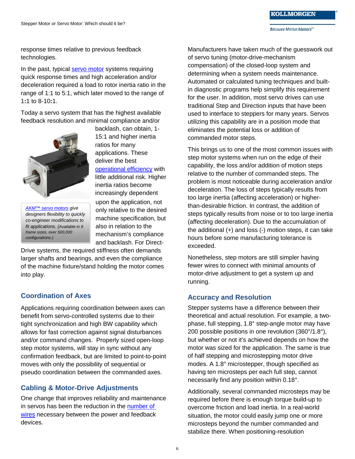response times relative to previous feedback technologies.

In the past, typical [servo motor](http://www.kollmorgen.com/en-us/products/motors/servo/akm-series/) systems requiring quick response times and high acceleration and/or deceleration required a load to rotor inertia ratio in the range of 1:1 to 5:1, which later moved to the range of 1**:**1 to 8-10**:**1.

Today a servo system that has the highest available feedback resolution and minimal compliance and/or



*[AKM™ servo motors](http://www.kollmorgen.com/en-us/products/motors/servo/akm-series/akm-series-ac-synchronous-motors/ac-synchronous-servo-motors/) give designers flexibility to quickly co-engineer modifications to fit applications. (Available in 8 frame sizes, over 500,000 configurations.)*

backlash, can obtain, 1- 15:1 and higher inertia ratios for many applications. These deliver the best [operational efficiency](http://www.kollmorgen.com/uploadedFiles/kollmorgencom/Service_and_Support/Knowledge_Center/White_Papers/Energy%20Management%20Inertia%20Ratio%20Servomotor_11_2_15_FINAL.pdf) with little additional risk. Higher inertia ratios become increasingly dependent upon the application, not only relative to the desired machine specification, but also in relation to the mechanism's compliance and backlash. For Direct-

Drive systems, the required stiffness often demands larger shafts and bearings, and even the compliance of the machine fixture/stand holding the motor comes into play.

## **Coordination of Axes**

Applications requiring coordination between axes can benefit from servo-controlled systems due to their tight synchronization and high BW capability which allows for fast correction against signal disturbances and/or command changes. Properly sized open-loop step motor systems, will stay in sync without any confirmation feedback, but are limited to point-to-point moves with only the possibility of sequential or pseudo coordination between the commanded axes.

## **Cabling & Motor-Drive Adjustments**

One change that improves reliability and maintenance in servos has been the reduction in the [number of](http://kdn.kollmorgen.com/content/sfd-feedback)  [wires](http://kdn.kollmorgen.com/content/sfd-feedback) necessary between the power and feedback devices.

Manufacturers have taken much of the guesswork out of servo tuning (motor-drive-mechanism compensation) of the closed-loop system and determining when a system needs maintenance. Automated or calculated tuning techniques and builtin diagnostic programs help simplify this requirement for the user. In addition, most servo drives can use traditional Step and Direction inputs that have been used to interface to steppers for many years. Servos utilizing this capability are in a position mode that eliminates the potential loss or addition of commanded motor steps.

This brings us to one of the most common issues with step motor systems when run on the edge of their capability, the loss and/or addition of motion steps relative to the number of commanded steps. The problem is most noticeable during acceleration and/or deceleration. The loss of steps typically results from too large inertia (affecting acceleration) or higherthan-desirable friction. In contrast, the addition of steps typically results from noise or to too large inertia (affecting deceleration). Due to the accumulation of the additional (+) and loss (-) motion steps, it can take hours before some manufacturing tolerance is exceeded.

Nonetheless, step motors are still simpler having fewer wires to connect with minimal amounts of motor-drive adjustment to get a system up and running.

#### **Accuracy and Resolution**

Stepper systems have a difference between their theoretical and actual resolution. For example, a twophase, full stepping, 1.8° step-angle motor may have 200 possible positions in one revolution (360°/1.8°), but whether or not it's achieved depends on how the motor was sized for the application. The same is true of half stepping and microstepping motor drive modes. A 1.8° microstepper, though specified as having ten microsteps per each full step, cannot necessarily find any position within 0.18°.

Additionally, several commanded microsteps may be required before there is enough torque build-up to overcome friction and load inertia. In a real-world situation, the motor could easily jump one or more microsteps beyond the number commanded and stabilize there. When positioning-resolution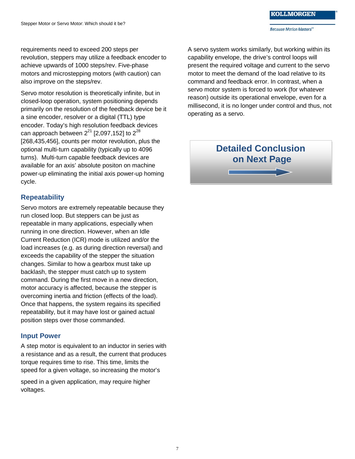requirements need to exceed 200 steps per revolution, steppers may utilize a feedback encoder to achieve upwards of 1000 steps/rev. Five-phase motors and microstepping motors (with caution) can also improve on the steps/rev.

Servo motor resolution is theoretically infinite, but in closed-loop operation, system positioning depends primarily on the resolution of the feedback device be it a sine encoder, resolver or a digital (TTL) type encoder. Today's high resolution feedback devices can approach between  $2^{21}$  [2,097,152] to  $2^{28}$ [268,435,456], counts per motor revolution, plus the optional multi-turn capability (typically up to 4096 turns). Multi-turn capable feedback devices are available for an axis' absolute positon on machine power-up eliminating the initial axis power-up homing cycle.

## **Repeatability**

Servo motors are extremely repeatable because they run closed loop. But steppers can be just as repeatable in many applications, especially when running in one direction. However, when an Idle Current Reduction (ICR) mode is utilized and/or the load increases (e.g. as during direction reversal) and exceeds the capability of the stepper the situation changes. Similar to how a gearbox must take up backlash, the stepper must catch up to system command. During the first move in a new direction, motor accuracy is affected, because the stepper is overcoming inertia and friction (effects of the load). Once that happens, the system regains its specified repeatability, but it may have lost or gained actual position steps over those commanded.

#### **Input Power**

A step motor is equivalent to an inductor in series with a resistance and as a result, the current that produces torque requires time to rise. This time, limits the speed for a given voltage, so increasing the motor's

speed in a given application, may require higher voltages.

A servo system works similarly, but working within its capability envelope, the drive's control loops will present the required voltage and current to the servo motor to meet the demand of the load relative to its command and feedback error. In contrast, when a servo motor system is forced to work (for whatever reason) outside its operational envelope, even for a millisecond, it is no longer under control and thus, not operating as a servo.

#### **KOLLMORGEN**

**Detailed Conclusion on Next Page**